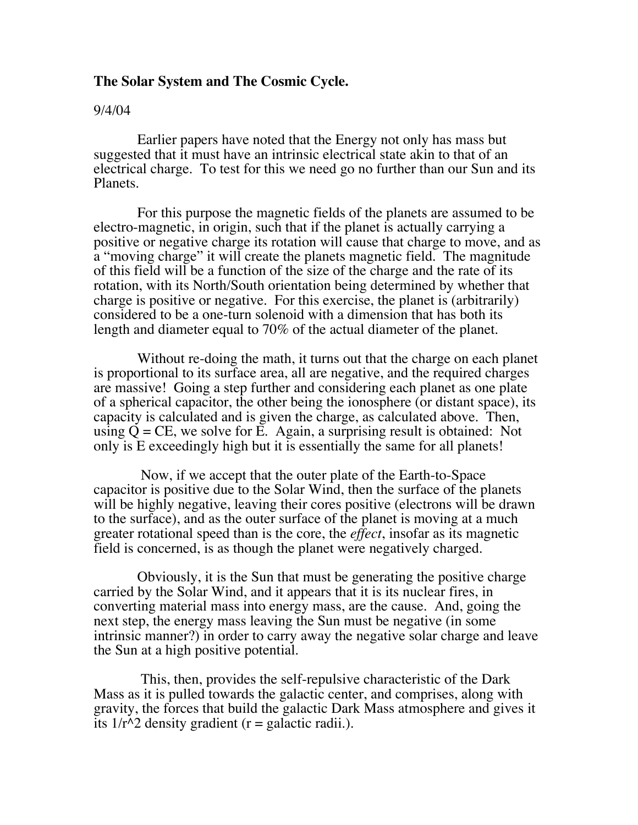### **The Solar System and The Cosmic Cycle.**

#### 9/4/04

 Earlier papers have noted that the Energy not only has mass but suggested that it must have an intrinsic electrical state akin to that of an electrical charge. To test for this we need go no further than our Sun and its Planets.

 For this purpose the magnetic fields of the planets are assumed to be electro-magnetic, in origin, such that if the planet is actually carrying a positive or negative charge its rotation will cause that charge to move, and as a "moving charge" it will create the planets magnetic field. The magnitude of this field will be a function of the size of the charge and the rate of its rotation, with its North/South orientation being determined by whether that charge is positive or negative. For this exercise, the planet is (arbitrarily) considered to be a one-turn solenoid with a dimension that has both its length and diameter equal to 70% of the actual diameter of the planet.

 Without re-doing the math, it turns out that the charge on each planet is proportional to its surface area, all are negative, and the required charges are massive! Going a step further and considering each planet as one plate of a spherical capacitor, the other being the ionosphere (or distant space), its capacity is calculated and is given the charge, as calculated above. Then, using  $\dot{Q} = CE$ , we solve for E. Again, a surprising result is obtained: Not only is E exceedingly high but it is essentially the same for all planets!

 Now, if we accept that the outer plate of the Earth-to-Space capacitor is positive due to the Solar Wind, then the surface of the planets will be highly negative, leaving their cores positive (electrons will be drawn to the surface), and as the outer surface of the planet is moving at a much greater rotational speed than is the core, the *effect*, insofar as its magnetic field is concerned, is as though the planet were negatively charged.

 Obviously, it is the Sun that must be generating the positive charge carried by the Solar Wind, and it appears that it is its nuclear fires, in converting material mass into energy mass, are the cause. And, going the next step, the energy mass leaving the Sun must be negative (in some intrinsic manner?) in order to carry away the negative solar charge and leave the Sun at a high positive potential.

 This, then, provides the self-repulsive characteristic of the Dark Mass as it is pulled towards the galactic center, and comprises, along with gravity, the forces that build the galactic Dark Mass atmosphere and gives it its  $1/r^2$  density gradient (r = galactic radii.).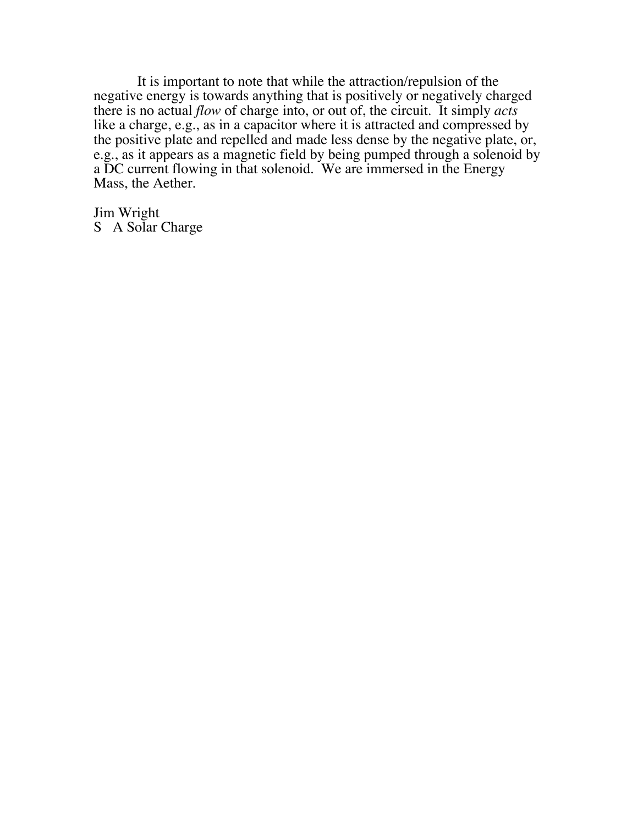It is important to note that while the attraction/repulsion of the negative energy is towards anything that is positively or negatively charged there is no actual *flow* of charge into, or out of, the circuit. It simply *acts* like a charge, e.g., as in a capacitor where it is attracted and compressed by the positive plate and repelled and made less dense by the negative plate, or, e.g., as it appears as a magnetic field by being pumped through a solenoid by a DC current flowing in that solenoid. We are immersed in the Energy Mass, the Aether.

Jim Wright S A Solar Charge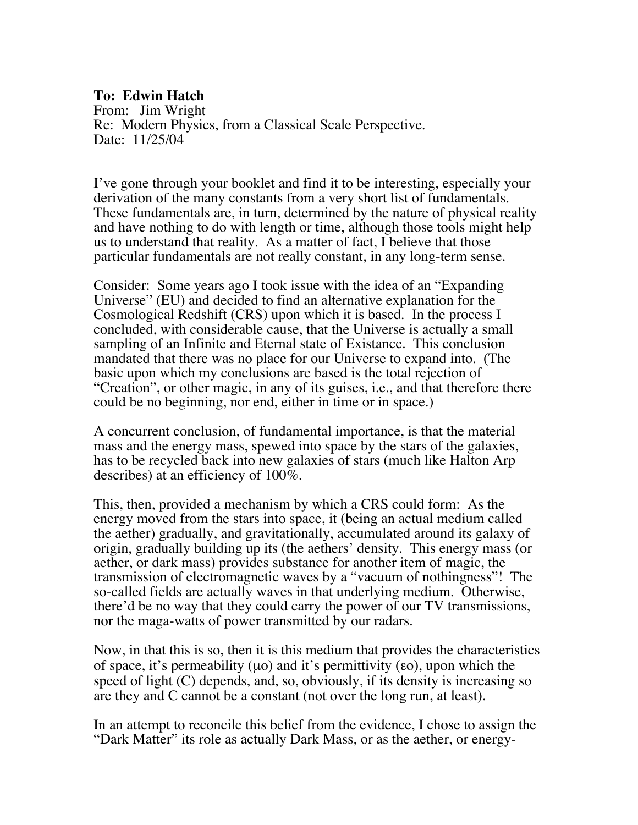## **To: Edwin Hatch**

From: Jim Wright Re: Modern Physics, from a Classical Scale Perspective. Date: 11/25/04

I've gone through your booklet and find it to be interesting, especially your derivation of the many constants from a very short list of fundamentals. These fundamentals are, in turn, determined by the nature of physical reality and have nothing to do with length or time, although those tools might help us to understand that reality. As a matter of fact, I believe that those particular fundamentals are not really constant, in any long-term sense.

Consider: Some years ago I took issue with the idea of an "Expanding Universe" (EU) and decided to find an alternative explanation for the Cosmological Redshift (CRS) upon which it is based. In the process I concluded, with considerable cause, that the Universe is actually a small sampling of an Infinite and Eternal state of Existance. This conclusion mandated that there was no place for our Universe to expand into. (The basic upon which my conclusions are based is the total rejection of "Creation", or other magic, in any of its guises, i.e., and that therefore there could be no beginning, nor end, either in time or in space.)

A concurrent conclusion, of fundamental importance, is that the material mass and the energy mass, spewed into space by the stars of the galaxies, has to be recycled back into new galaxies of stars (much like Halton Arp describes) at an efficiency of 100%.

This, then, provided a mechanism by which a CRS could form: As the energy moved from the stars into space, it (being an actual medium called the aether) gradually, and gravitationally, accumulated around its galaxy of origin, gradually building up its (the aethers' density. This energy mass (or aether, or dark mass) provides substance for another item of magic, the transmission of electromagnetic waves by a "vacuum of nothingness"! The so-called fields are actually waves in that underlying medium. Otherwise, there'd be no way that they could carry the power of our TV transmissions, nor the maga-watts of power transmitted by our radars.

Now, in that this is so, then it is this medium that provides the characteristics of space, it's permeability (µo) and it's permittivity (εo), upon which the speed of light (C) depends, and, so, obviously, if its density is increasing so are they and C cannot be a constant (not over the long run, at least).

In an attempt to reconcile this belief from the evidence, I chose to assign the "Dark Matter" its role as actually Dark Mass, or as the aether, or energy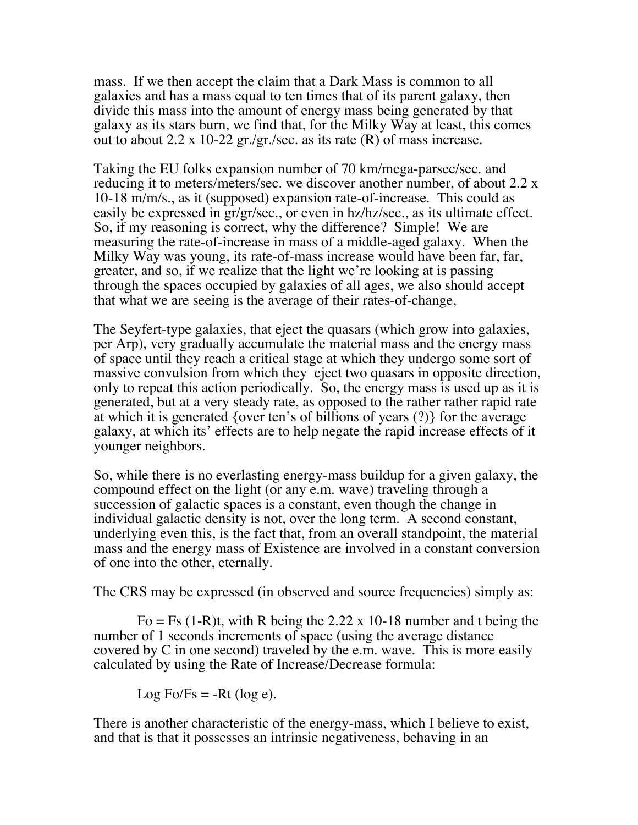mass. If we then accept the claim that a Dark Mass is common to all galaxies and has a mass equal to ten times that of its parent galaxy, then divide this mass into the amount of energy mass being generated by that galaxy as its stars burn, we find that, for the Milky Way at least, this comes out to about 2.2 x 10-22 gr./gr./sec. as its rate  $(R)$  of mass increase.

Taking the EU folks expansion number of 70 km/mega-parsec/sec. and reducing it to meters/meters/sec. we discover another number, of about 2.2 x 10-18 m/m/s., as it (supposed) expansion rate-of-increase. This could as easily be expressed in gr/gr/sec., or even in hz/hz/sec., as its ultimate effect. So, if my reasoning is correct, why the difference? Simple! We are measuring the rate-of-increase in mass of a middle-aged galaxy. When the Milky Way was young, its rate-of-mass increase would have been far, far, greater, and so, if we realize that the light we're looking at is passing through the spaces occupied by galaxies of all ages, we also should accept that what we are seeing is the average of their rates-of-change,

The Seyfert-type galaxies, that eject the quasars (which grow into galaxies, per Arp), very gradually accumulate the material mass and the energy mass of space until they reach a critical stage at which they undergo some sort of massive convulsion from which they eject two quasars in opposite direction, only to repeat this action periodically. So, the energy mass is used up as it is generated, but at a very steady rate, as opposed to the rather rather rapid rate at which it is generated {over ten's of billions of years (?)} for the average galaxy, at which its' effects are to help negate the rapid increase effects of it younger neighbors.

So, while there is no everlasting energy-mass buildup for a given galaxy, the compound effect on the light (or any e.m. wave) traveling through a succession of galactic spaces is a constant, even though the change in individual galactic density is not, over the long term. A second constant, underlying even this, is the fact that, from an overall standpoint, the material mass and the energy mass of Existence are involved in a constant conversion of one into the other, eternally.

The CRS may be expressed (in observed and source frequencies) simply as:

Fo = Fs  $(1-R)t$ , with R being the 2.22 x 10-18 number and t being the number of 1 seconds increments of space (using the average distance covered by C in one second) traveled by the e.m. wave. This is more easily calculated by using the Rate of Increase/Decrease formula:

Log Fo/Fs =  $-Rt$  (log e).

There is another characteristic of the energy-mass, which I believe to exist, and that is that it possesses an intrinsic negativeness, behaving in an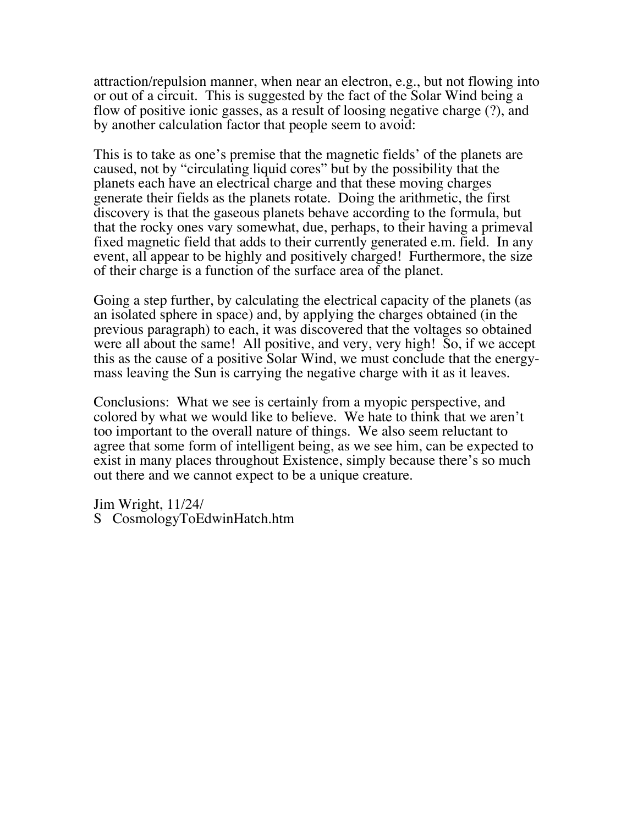attraction/repulsion manner, when near an electron, e.g., but not flowing into or out of a circuit. This is suggested by the fact of the Solar Wind being a flow of positive ionic gasses, as a result of loosing negative charge (?), and by another calculation factor that people seem to avoid:

This is to take as one's premise that the magnetic fields' of the planets are caused, not by "circulating liquid cores" but by the possibility that the planets each have an electrical charge and that these moving charges generate their fields as the planets rotate. Doing the arithmetic, the first discovery is that the gaseous planets behave according to the formula, but that the rocky ones vary somewhat, due, perhaps, to their having a primeval fixed magnetic field that adds to their currently generated e.m. field. In any event, all appear to be highly and positively charged! Furthermore, the size of their charge is a function of the surface area of the planet.

Going a step further, by calculating the electrical capacity of the planets (as an isolated sphere in space) and, by applying the charges obtained (in the previous paragraph) to each, it was discovered that the voltages so obtained were all about the same! All positive, and very, very high! So, if we accept this as the cause of a positive Solar Wind, we must conclude that the energymass leaving the Sun is carrying the negative charge with it as it leaves.

Conclusions: What we see is certainly from a myopic perspective, and colored by what we would like to believe. We hate to think that we aren't too important to the overall nature of things. We also seem reluctant to agree that some form of intelligent being, as we see him, can be expected to exist in many places throughout Existence, simply because there's so much out there and we cannot expect to be a unique creature.

Jim Wright, 11/24/ S CosmologyToEdwinHatch.htm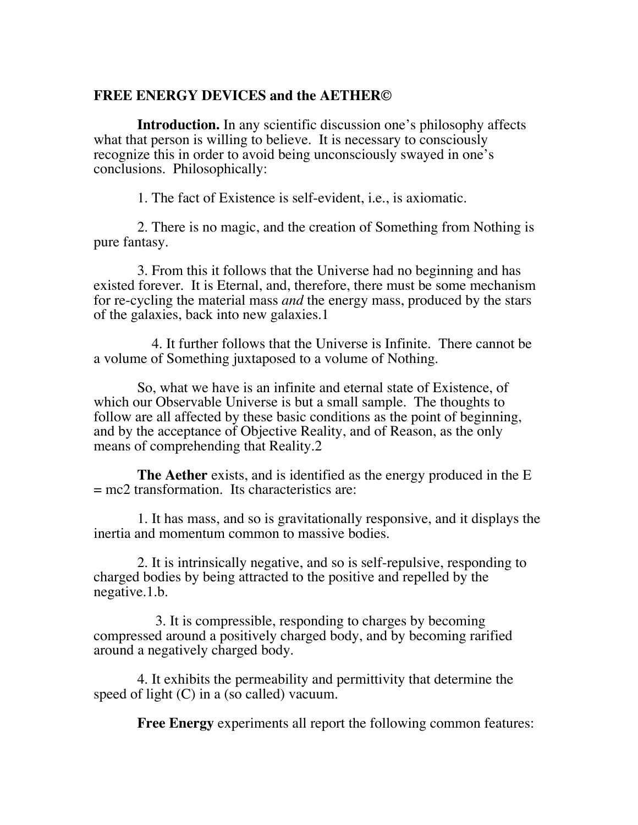### **FREE ENERGY DEVICES and the AETHER©**

 **Introduction.** In any scientific discussion one's philosophy affects what that person is willing to believe. It is necessary to consciously recognize this in order to avoid being unconsciously swayed in one's conclusions. Philosophically:

1. The fact of Existence is self-evident, i.e., is axiomatic.

 2. There is no magic, and the creation of Something from Nothing is pure fantasy.

 3. From this it follows that the Universe had no beginning and has existed forever. It is Eternal, and, therefore, there must be some mechanism for re-cycling the material mass *and* the energy mass, produced by the stars of the galaxies, back into new galaxies.1

 4. It further follows that the Universe is Infinite. There cannot be a volume of Something juxtaposed to a volume of Nothing.

 So, what we have is an infinite and eternal state of Existence, of which our Observable Universe is but a small sample. The thoughts to follow are all affected by these basic conditions as the point of beginning, and by the acceptance of Objective Reality, and of Reason, as the only means of comprehending that Reality.2

 **The Aether** exists, and is identified as the energy produced in the E  $=$  mc2 transformation. Its characteristics are:

 1. It has mass, and so is gravitationally responsive, and it displays the inertia and momentum common to massive bodies.

 2. It is intrinsically negative, and so is self-repulsive, responding to charged bodies by being attracted to the positive and repelled by the negative.1.b.

 3. It is compressible, responding to charges by becoming compressed around a positively charged body, and by becoming rarified around a negatively charged body.

 4. It exhibits the permeability and permittivity that determine the speed of light (C) in a (so called) vacuum.

**Free Energy** experiments all report the following common features: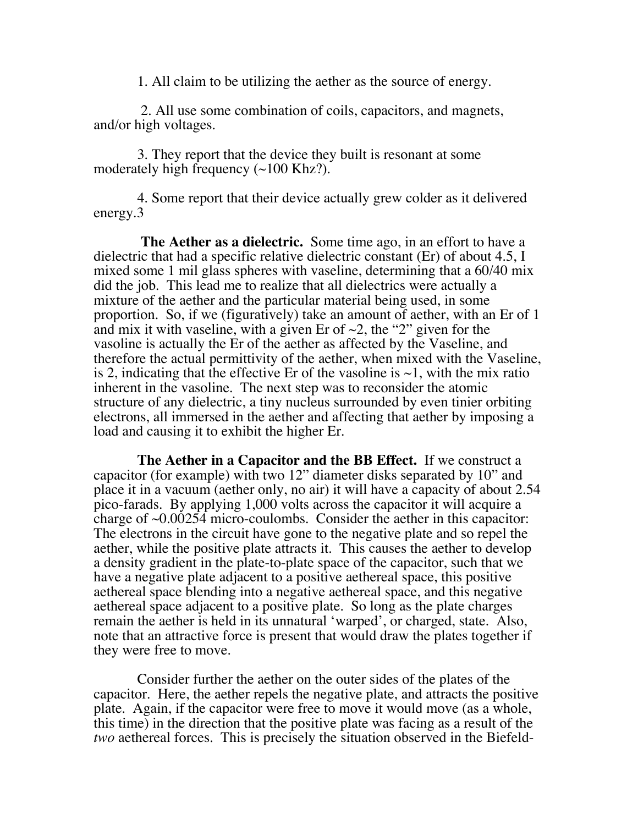1. All claim to be utilizing the aether as the source of energy.

 2. All use some combination of coils, capacitors, and magnets, and/or high voltages.

 3. They report that the device they built is resonant at some moderately high frequency  $(\sim 100 \text{ K}$ hz?).

 4. Some report that their device actually grew colder as it delivered energy.3

 **The Aether as a dielectric.** Some time ago, in an effort to have a dielectric that had a specific relative dielectric constant (Er) of about 4.5, I mixed some 1 mil glass spheres with vaseline, determining that a 60/40 mix did the job. This lead me to realize that all dielectrics were actually a mixture of the aether and the particular material being used, in some proportion. So, if we (figuratively) take an amount of aether, with an Er of 1 and mix it with vaseline, with a given Er of  $\sim$ 2, the "2" given for the vasoline is actually the Er of the aether as affected by the Vaseline, and therefore the actual permittivity of the aether, when mixed with the Vaseline, is 2, indicating that the effective Er of the vasoline is  $\sim$ 1, with the mix ratio inherent in the vasoline. The next step was to reconsider the atomic structure of any dielectric, a tiny nucleus surrounded by even tinier orbiting electrons, all immersed in the aether and affecting that aether by imposing a load and causing it to exhibit the higher Er.

 **The Aether in a Capacitor and the BB Effect.** If we construct a capacitor (for example) with two 12" diameter disks separated by 10" and place it in a vacuum (aether only, no air) it will have a capacity of about 2.54 pico-farads. By applying 1,000 volts across the capacitor it will acquire a charge of  $\sim 0.00254$  micro-coulombs. Consider the aether in this capacitor: The electrons in the circuit have gone to the negative plate and so repel the aether, while the positive plate attracts it. This causes the aether to develop a density gradient in the plate-to-plate space of the capacitor, such that we have a negative plate adjacent to a positive aethereal space, this positive aethereal space blending into a negative aethereal space, and this negative aethereal space adjacent to a positive plate. So long as the plate charges remain the aether is held in its unnatural 'warped', or charged, state. Also, note that an attractive force is present that would draw the plates together if they were free to move.

 Consider further the aether on the outer sides of the plates of the capacitor. Here, the aether repels the negative plate, and attracts the positive plate. Again, if the capacitor were free to move it would move (as a whole, this time) in the direction that the positive plate was facing as a result of the *two* aethereal forces. This is precisely the situation observed in the Biefeld-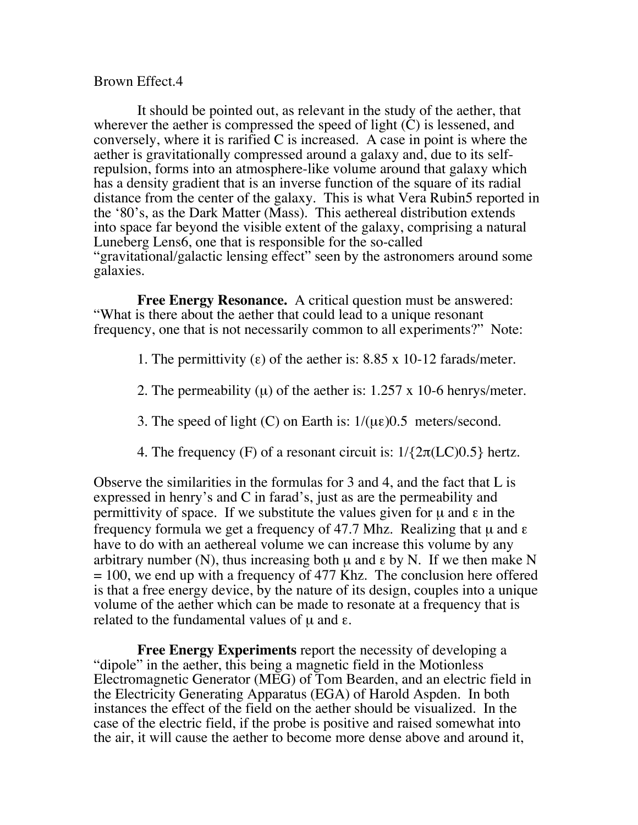### Brown Effect.4

 It should be pointed out, as relevant in the study of the aether, that wherever the aether is compressed the speed of light (C) is lessened, and conversely, where it is rarified  $C$  is increased. A case in point is where the aether is gravitationally compressed around a galaxy and, due to its selfrepulsion, forms into an atmosphere-like volume around that galaxy which has a density gradient that is an inverse function of the square of its radial distance from the center of the galaxy. This is what Vera Rubin5 reported in the '80's, as the Dark Matter (Mass). This aethereal distribution extends into space far beyond the visible extent of the galaxy, comprising a natural Luneberg Lens6, one that is responsible for the so-called "gravitational/galactic lensing effect" seen by the astronomers around some galaxies.

 **Free Energy Resonance.** A critical question must be answered: "What is there about the aether that could lead to a unique resonant frequency, one that is not necessarily common to all experiments?" Note:

1. The permittivity (ε) of the aether is:  $8.85 \times 10$ -12 farads/meter.

- 2. The permeability  $(\mu)$  of the aether is: 1.257 x 10-6 henrys/meter.
- 3. The speed of light (C) on Earth is:  $1/(\mu \varepsilon)$  0.5 meters/second.
- 4. The frequency (F) of a resonant circuit is:  $1/\{2\pi (LC)0.5\}$  hertz.

Observe the similarities in the formulas for 3 and 4, and the fact that L is expressed in henry's and C in farad's, just as are the permeability and permittivity of space. If we substitute the values given for  $\mu$  and  $\epsilon$  in the frequency formula we get a frequency of 47.7 Mhz. Realizing that  $\mu$  and  $\epsilon$ have to do with an aethereal volume we can increase this volume by any arbitrary number (N), thus increasing both  $\mu$  and  $\varepsilon$  by N. If we then make N  $= 100$ , we end up with a frequency of 477 Khz. The conclusion here offered is that a free energy device, by the nature of its design, couples into a unique volume of the aether which can be made to resonate at a frequency that is related to the fundamental values of  $\mu$  and ε.

 **Free Energy Experiments** report the necessity of developing a "dipole" in the aether, this being a magnetic field in the Motionless Electromagnetic Generator (MEG) of Tom Bearden, and an electric field in the Electricity Generating Apparatus (EGA) of Harold Aspden. In both instances the effect of the field on the aether should be visualized. In the case of the electric field, if the probe is positive and raised somewhat into the air, it will cause the aether to become more dense above and around it,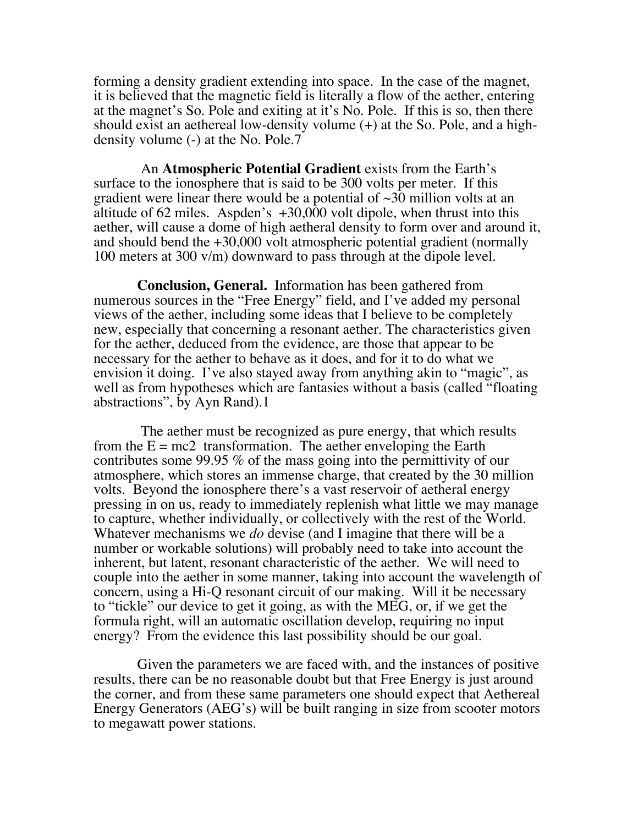forming a density gradient extending into space. In the case of the magnet, it is believed that the magnetic field is literally a flow of the aether, entering at the magnet's So. Pole and exiting at it's No. Pole. If this is so, then there should exist an aethereal low-density volume (+) at the So. Pole, and a highdensity volume (-) at the No. Pole.7

 An **Atmospheric Potential Gradient** exists from the Earth's surface to the ionosphere that is said to be 300 volts per meter. If this gradient were linear there would be a potential of  $\sim$ 30 million volts at an altitude of 62 miles. Aspden's+30,000 volt dipole, when thrust into this aether, will cause a dome of high aetheral density to form over and around it, and should bend the  $+30,000$  volt atmospheric potential gradient (normally 100 meters at 300 v/m) downward to pass through at the dipole level.

 **Conclusion, General.** Information has been gathered from numerous sources in the "Free Energy" field, and I've added my personal views of the aether, including some ideas that I believe to be completely new, especially that concerning a resonant aether. The characteristics given for the aether, deduced from the evidence, are those that appear to be necessary for the aether to behave as it does, and for it to do what we envision it doing. I've also stayed away from anything akin to "magic", as well as from hypotheses which are fantasies without a basis (called "floating abstractions", by Ayn Rand).1

 The aether must be recognized as pure energy, that which results from the  $E = mc2$  transformation. The aether enveloping the Earth contributes some 99.95 % of the mass going into the permittivity of our atmosphere, which stores an immense charge, that created by the 30 million volts. Beyond the ionosphere there's a vast reservoir of aetheral energy pressing in on us, ready to immediately replenish what little we may manage to capture, whether individually, or collectively with the rest of the World. Whatever mechanisms we *do* devise (and I imagine that there will be a number or workable solutions) will probably need to take into account the inherent, but latent, resonant characteristic of the aether. We will need to couple into the aether in some manner, taking into account the wavelength of concern, using a Hi-Q resonant circuit of our making. Will it be necessary to "tickle" our device to get it going, as with the MEG, or, if we get the formula right, will an automatic oscillation develop, requiring no input energy? From the evidence this last possibility should be our goal.

 Given the parameters we are faced with, and the instances of positive results, there can be no reasonable doubt but that Free Energy is just around the corner, and from these same parameters one should expect that Aethereal Energy Generators (AEG's) will be built ranging in size from scooter motors to megawatt power stations.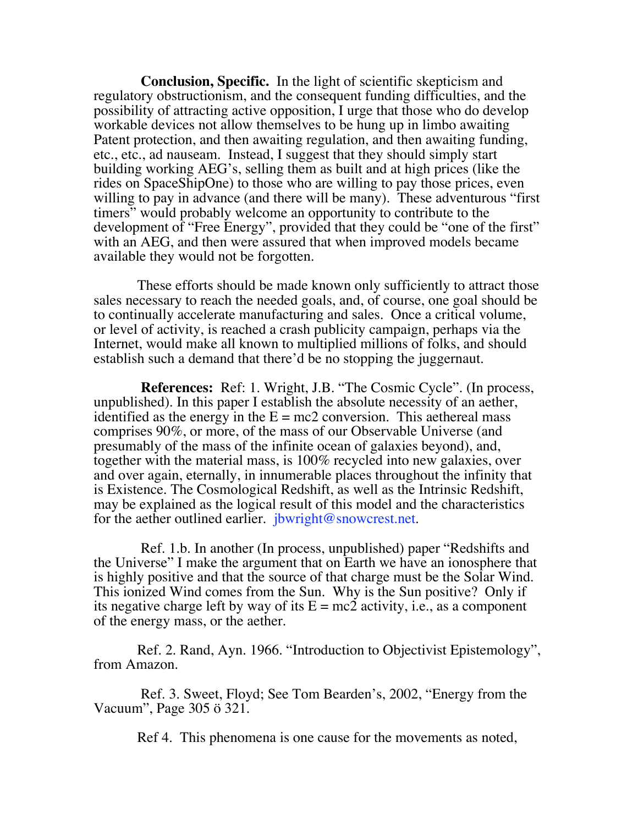**Conclusion, Specific.** In the light of scientific skepticism and regulatory obstructionism, and the consequent funding difficulties, and the possibility of attracting active opposition, I urge that those who do develop workable devices not allow themselves to be hung up in limbo awaiting Patent protection, and then awaiting regulation, and then awaiting funding, etc., etc., ad nauseam. Instead, I suggest that they should simply start building working AEG's, selling them as built and at high prices (like the rides on SpaceShipOne) to those who are willing to pay those prices, even willing to pay in advance (and there will be many). These adventurous "first timers" would probably welcome an opportunity to contribute to the development of "Free Energy", provided that they could be "one of the first" with an AEG, and then were assured that when improved models became available they would not be forgotten.

 These efforts should be made known only sufficiently to attract those sales necessary to reach the needed goals, and, of course, one goal should be to continually accelerate manufacturing and sales. Once a critical volume, or level of activity, is reached a crash publicity campaign, perhaps via the Internet, would make all known to multiplied millions of folks, and should establish such a demand that there'd be no stopping the juggernaut.

 **References:** Ref: 1. Wright, J.B. "The Cosmic Cycle". (In process, unpublished). In this paper I establish the absolute necessity of an aether, identified as the energy in the  $E = mc2$  conversion. This aethereal mass comprises 90%, or more, of the mass of our Observable Universe (and presumably of the mass of the infinite ocean of galaxies beyond), and, together with the material mass, is 100% recycled into new galaxies, over and over again, eternally, in innumerable places throughout the infinity that is Existence. The Cosmological Redshift, as well as the Intrinsic Redshift, may be explained as the logical result of this model and the characteristics for the aether outlined earlier. jbwright@snowcrest.net.

 Ref. 1.b. In another (In process, unpublished) paper "Redshifts and the Universe" I make the argument that on Earth we have an ionosphere that is highly positive and that the source of that charge must be the Solar Wind. This ionized Wind comes from the Sun. Why is the Sun positive? Only if its negative charge left by way of its  $E = mc2$  activity, i.e., as a component of the energy mass, or the aether.

 Ref. 2. Rand, Ayn. 1966. "Introduction to Objectivist Epistemology", from Amazon.

 Ref. 3. Sweet, Floyd; See Tom Bearden's, 2002, "Energy from the Vacuum", Page 305 ö 321.

Ref 4. This phenomena is one cause for the movements as noted,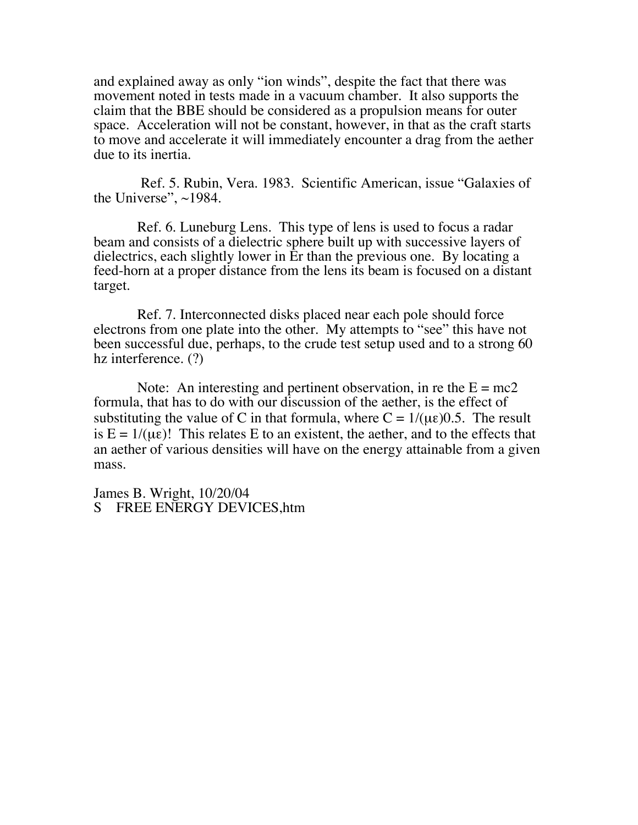and explained away as only "ion winds", despite the fact that there was movement noted in tests made in a vacuum chamber. It also supports the claim that the BBE should be considered as a propulsion means for outer space. Acceleration will not be constant, however, in that as the craft starts to move and accelerate it will immediately encounter a drag from the aether due to its inertia.

 Ref. 5. Rubin, Vera. 1983. Scientific American, issue "Galaxies of the Universe", ~1984.

 Ref. 6. Luneburg Lens. This type of lens is used to focus a radar beam and consists of a dielectric sphere built up with successive layers of dielectrics, each slightly lower in Er than the previous one. By locating a feed-horn at a proper distance from the lens its beam is focused on a distant target.

 Ref. 7. Interconnected disks placed near each pole should force electrons from one plate into the other. My attempts to "see" this have not been successful due, perhaps, to the crude test setup used and to a strong 60 hz interference. (?)

Note: An interesting and pertinent observation, in re the  $E = mc2$ formula, that has to do with our discussion of the aether, is the effect of substituting the value of C in that formula, where  $C = 1/(\mu \epsilon)0.5$ . The result is  $E = 1/(\mu \epsilon)$ ! This relates E to an existent, the aether, and to the effects that an aether of various densities will have on the energy attainable from a given mass.

James B. Wright, 10/20/04 S FREE ENERGY DEVICES,htm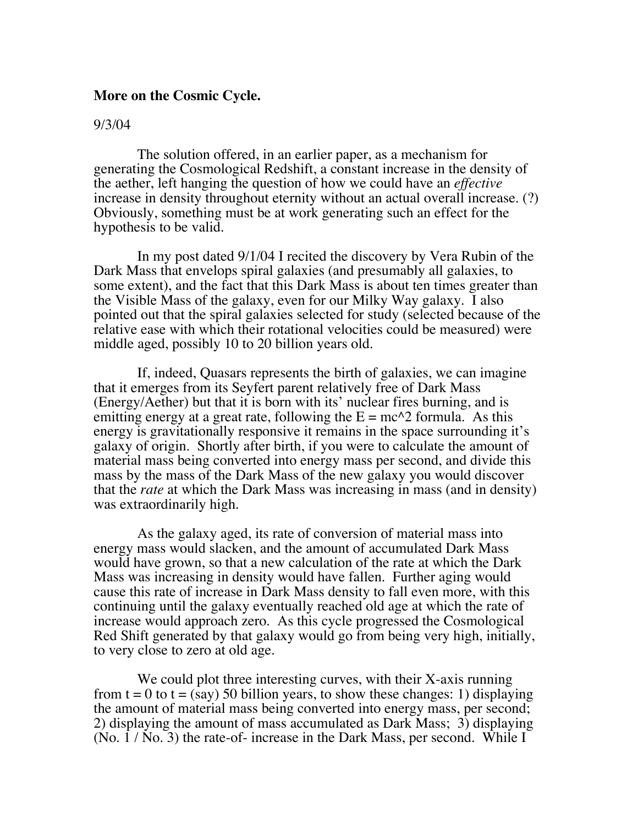#### **More on the Cosmic Cycle.**

#### 9/3/04

 The solution offered, in an earlier paper, as a mechanism for generating the Cosmological Redshift, a constant increase in the density of the aether, left hanging the question of how we could have an *effective* increase in density throughout eternity without an actual overall increase. (?) Obviously, something must be at work generating such an effect for the hypothesis to be valid.

 In my post dated 9/1/04 I recited the discovery by Vera Rubin of the Dark Mass that envelops spiral galaxies (and presumably all galaxies, to some extent), and the fact that this Dark Mass is about ten times greater than the Visible Mass of the galaxy, even for our Milky Way galaxy. I also pointed out that the spiral galaxies selected for study (selected because of the relative ease with which their rotational velocities could be measured) were middle aged, possibly 10 to 20 billion years old.

 If, indeed, Quasars represents the birth of galaxies, we can imagine that it emerges from its Seyfert parent relatively free of Dark Mass (Energy/Aether) but that it is born with its' nuclear fires burning, and is emitting energy at a great rate, following the  $E = mc^2$  formula. As this energy is gravitationally responsive it remains in the space surrounding it's galaxy of origin. Shortly after birth, if you were to calculate the amount of material mass being converted into energy mass per second, and divide this mass by the mass of the Dark Mass of the new galaxy you would discover that the *rate* at which the Dark Mass was increasing in mass (and in density) was extraordinarily high.

 As the galaxy aged, its rate of conversion of material mass into energy mass would slacken, and the amount of accumulated Dark Mass would have grown, so that a new calculation of the rate at which the Dark Mass was increasing in density would have fallen. Further aging would cause this rate of increase in Dark Mass density to fall even more, with this continuing until the galaxy eventually reached old age at which the rate of increase would approach zero. As this cycle progressed the Cosmological Red Shift generated by that galaxy would go from being very high, initially, to very close to zero at old age.

We could plot three interesting curves, with their X-axis running from  $t = 0$  to  $t = (say)$  50 billion years, to show these changes: 1) displaying the amount of material mass being converted into energy mass, per second; 2) displaying the amount of mass accumulated as Dark Mass; 3) displaying (No. 1 / No. 3) the rate-of- increase in the Dark Mass, per second. While I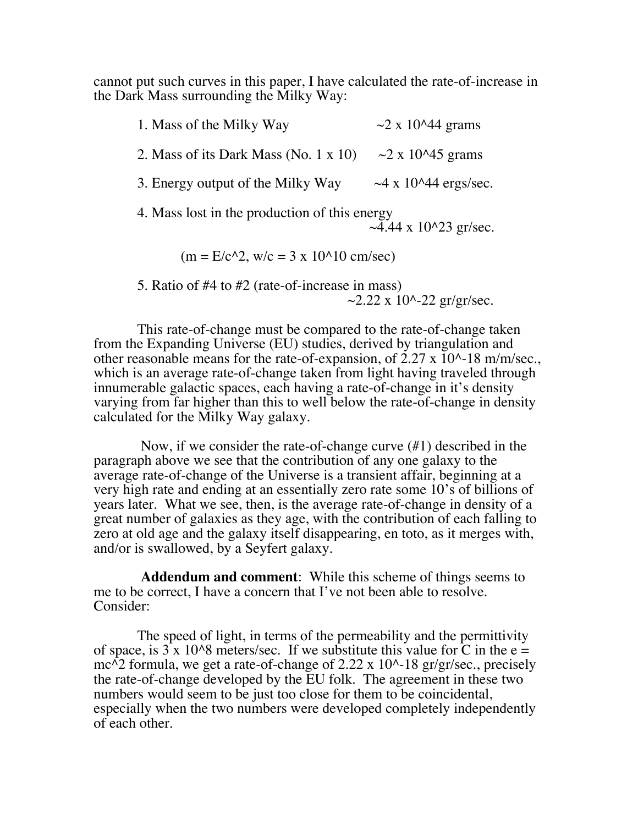cannot put such curves in this paper, I have calculated the rate-of-increase in the Dark Mass surrounding the Milky Way:

1. Mass of the Milky Way  $\sim$  2 x 10^44 grams 2. Mass of its Dark Mass (No. 1 x 10)  $\sim$  2 x 10^45 grams 3. Energy output of the Milky Way  $\sim$  4 x 10^44 ergs/sec. 4. Mass lost in the production of this energy  $\sim$ 4.44 x 10^23 gr/sec.  $(m = E/c^2)$ , w/c = 3 x 10^10 cm/sec)

 5. Ratio of #4 to #2 (rate-of-increase in mass)  $\sim$ 2.22 x 10^-22 gr/gr/sec.

 This rate-of-change must be compared to the rate-of-change taken from the Expanding Universe (EU) studies, derived by triangulation and other reasonable means for the rate-of-expansion, of 2.27 x 10^-18 m/m/sec., which is an average rate-of-change taken from light having traveled through innumerable galactic spaces, each having a rate-of-change in it's density varying from far higher than this to well below the rate-of-change in density calculated for the Milky Way galaxy.

 Now, if we consider the rate-of-change curve (#1) described in the paragraph above we see that the contribution of any one galaxy to the average rate-of-change of the Universe is a transient affair, beginning at a very high rate and ending at an essentially zero rate some 10's of billions of years later. What we see, then, is the average rate-of-change in density of a great number of galaxies as they age, with the contribution of each falling to zero at old age and the galaxy itself disappearing, en toto, as it merges with, and/or is swallowed, by a Seyfert galaxy.

 **Addendum and comment**: While this scheme of things seems to me to be correct, I have a concern that I've not been able to resolve. Consider:

 The speed of light, in terms of the permeability and the permittivity of space, is  $3 \times 10^{8}$  meters/sec. If we substitute this value for C in the e = mc<sup> $\Lambda$ </sup>2 formula, we get a rate-of-change of 2.22 x 10<sup> $\Lambda$ </sup>-18 gr/gr/sec., precisely the rate-of-change developed by the EU folk. The agreement in these two numbers would seem to be just too close for them to be coincidental, especially when the two numbers were developed completely independently of each other.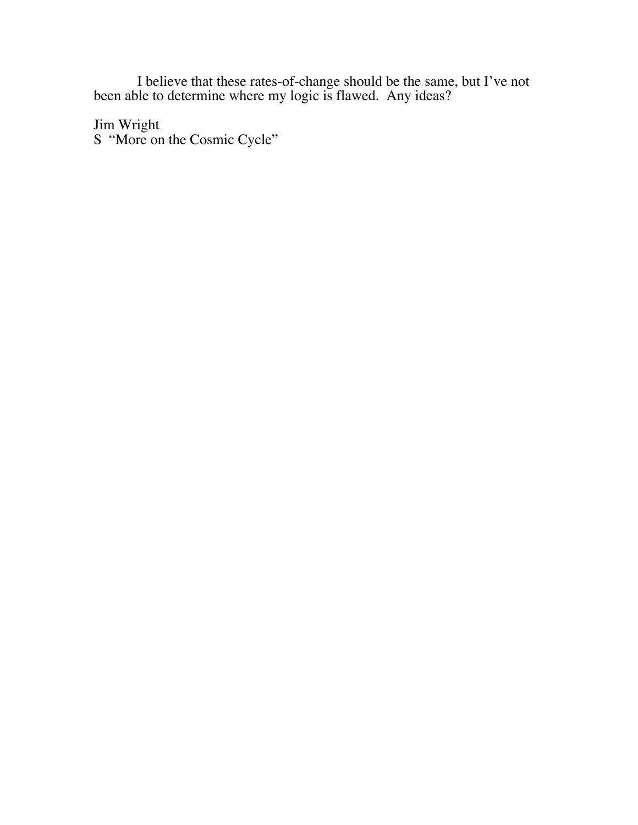I believe that these rates-of-change should be the same, but I've not been able to determine where my logic is flawed. Any ideas?

Jim Wright S "More on the Cosmic Cycle"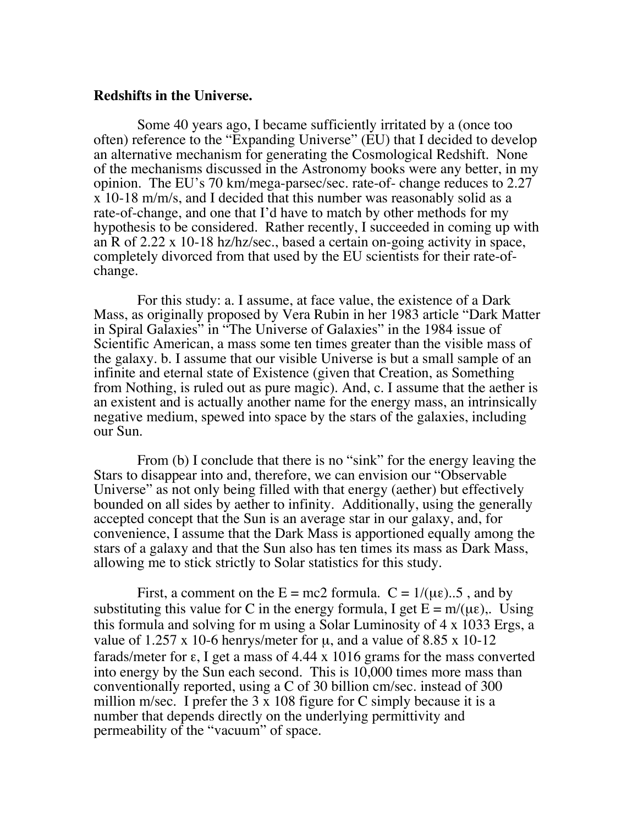#### **Redshifts in the Universe.**

 Some 40 years ago, I became sufficiently irritated by a (once too often) reference to the "Expanding Universe" (EU) that I decided to develop an alternative mechanism for generating the Cosmological Redshift. None of the mechanisms discussed in the Astronomy books were any better, in my opinion. The EU's 70 km/mega-parsec/sec. rate-of- change reduces to 2.27 x 10-18 m/m/s, and I decided that this number was reasonably solid as a rate-of-change, and one that I'd have to match by other methods for my hypothesis to be considered. Rather recently, I succeeded in coming up with an R of 2.22 x 10-18 hz/hz/sec., based a certain on-going activity in space, completely divorced from that used by the EU scientists for their rate-ofchange.

 For this study: a. I assume, at face value, the existence of a Dark Mass, as originally proposed by Vera Rubin in her 1983 article "Dark Matter in Spiral Galaxies" in "The Universe of Galaxies" in the 1984 issue of Scientific American, a mass some ten times greater than the visible mass of the galaxy. b. I assume that our visible Universe is but a small sample of an infinite and eternal state of Existence (given that Creation, as Something from Nothing, is ruled out as pure magic). And, c. I assume that the aether is an existent and is actually another name for the energy mass, an intrinsically negative medium, spewed into space by the stars of the galaxies, including our Sun.

From (b) I conclude that there is no "sink" for the energy leaving the Stars to disappear into and, therefore, we can envision our "Observable Universe" as not only being filled with that energy (aether) but effectively bounded on all sides by aether to infinity. Additionally, using the generally accepted concept that the Sun is an average star in our galaxy, and, for convenience, I assume that the Dark Mass is apportioned equally among the stars of a galaxy and that the Sun also has ten times its mass as Dark Mass, allowing me to stick strictly to Solar statistics for this study.

First, a comment on the  $E = mc2$  formula.  $C = 1/(\mu \varepsilon)$ ...5, and by substituting this value for C in the energy formula, I get  $E = m/(\mu \epsilon)$ . Using this formula and solving for m using a Solar Luminosity of 4 x 1033 Ergs, a value of 1.257 x 10-6 henrys/meter for  $\mu$ , and a value of 8.85 x 10-12 farads/meter for  $\varepsilon$ , I get a mass of 4.44 x 1016 grams for the mass converted into energy by the Sun each second. This is 10,000 times more mass than conventionally reported, using a C of 30 billion cm/sec. instead of 300 million m/sec. I prefer the  $3 \times 108$  figure for C simply because it is a number that depends directly on the underlying permittivity and permeability of the "vacuum" of space.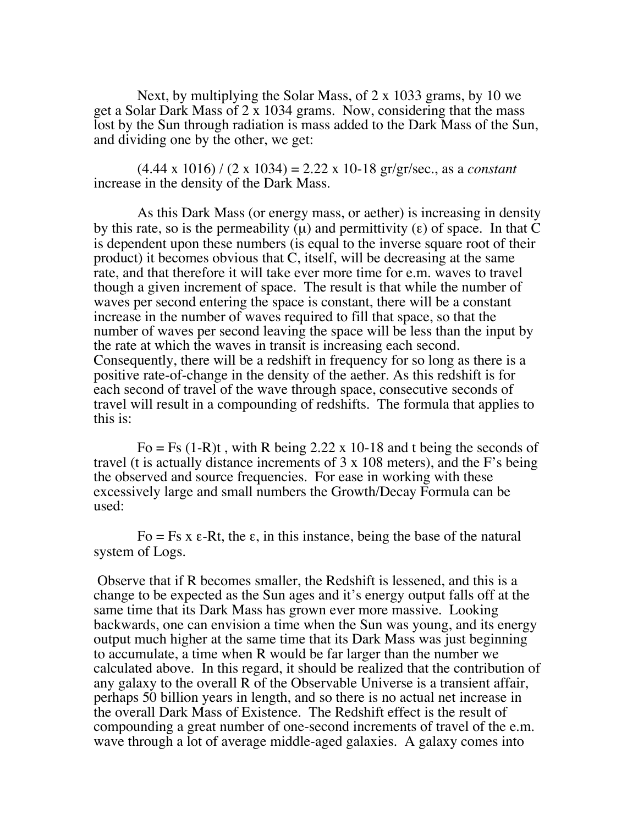Next, by multiplying the Solar Mass, of 2 x 1033 grams, by 10 we get a Solar Dark Mass of 2 x 1034 grams. Now, considering that the mass lost by the Sun through radiation is mass added to the Dark Mass of the Sun, and dividing one by the other, we get:

 (4.44 x 1016) / (2 x 1034) = 2.22 x 10-18 gr/gr/sec., as a *constant* increase in the density of the Dark Mass.

 As this Dark Mass (or energy mass, or aether) is increasing in density by this rate, so is the permeability ( $\mu$ ) and permittivity (ε) of space. In that C is dependent upon these numbers (is equal to the inverse square root of their product) it becomes obvious that C, itself, will be decreasing at the same rate, and that therefore it will take ever more time for e.m. waves to travel though a given increment of space. The result is that while the number of waves per second entering the space is constant, there will be a constant increase in the number of waves required to fill that space, so that the number of waves per second leaving the space will be less than the input by the rate at which the waves in transit is increasing each second. Consequently, there will be a redshift in frequency for so long as there is a positive rate-of-change in the density of the aether. As this redshift is for each second of travel of the wave through space, consecutive seconds of travel will result in a compounding of redshifts. The formula that applies to this is:

Fo = Fs  $(1-R)t$ , with R being 2.22 x 10-18 and t being the seconds of travel (t is actually distance increments of 3 x 108 meters), and the F's being the observed and source frequencies. For ease in working with these excessively large and small numbers the Growth/Decay Formula can be used:

Fo = Fs x  $\varepsilon$ -Rt, the  $\varepsilon$ , in this instance, being the base of the natural system of Logs.

 Observe that if R becomes smaller, the Redshift is lessened, and this is a change to be expected as the Sun ages and it's energy output falls off at the same time that its Dark Mass has grown ever more massive. Looking backwards, one can envision a time when the Sun was young, and its energy output much higher at the same time that its Dark Mass was just beginning to accumulate, a time when R would be far larger than the number we calculated above. In this regard, it should be realized that the contribution of any galaxy to the overall R of the Observable Universe is a transient affair, perhaps 50 billion years in length, and so there is no actual net increase in the overall Dark Mass of Existence. The Redshift effect is the result of compounding a great number of one-second increments of travel of the e.m. wave through a lot of average middle-aged galaxies. A galaxy comes into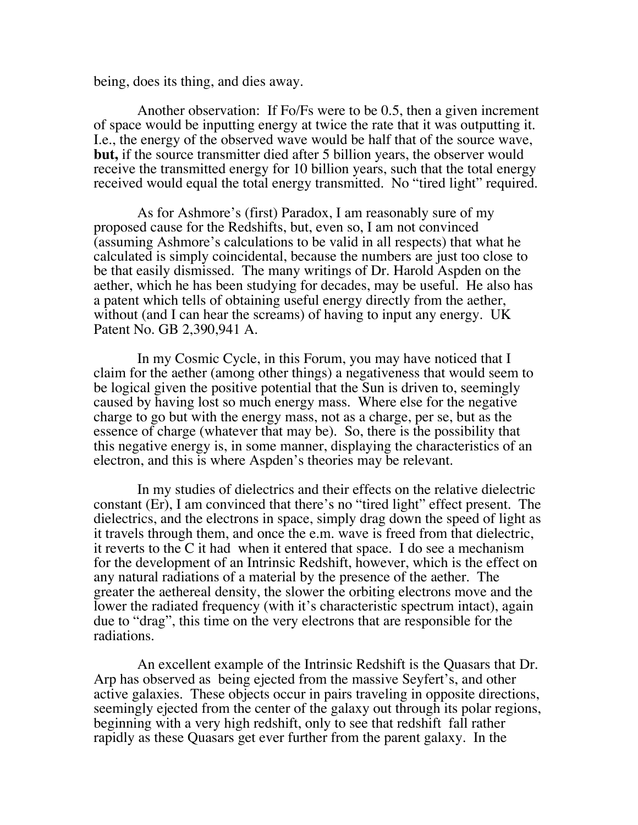being, does its thing, and dies away.

 Another observation: If Fo/Fs were to be 0.5, then a given increment of space would be inputting energy at twice the rate that it was outputting it. I.e., the energy of the observed wave would be half that of the source wave, **but,** if the source transmitter died after 5 billion years, the observer would receive the transmitted energy for 10 billion years, such that the total energy received would equal the total energy transmitted. No "tired light" required.

 As for Ashmore's (first) Paradox, I am reasonably sure of my proposed cause for the Redshifts, but, even so, I am not convinced (assuming Ashmore's calculations to be valid in all respects) that what he calculated is simply coincidental, because the numbers are just too close to be that easily dismissed. The many writings of Dr. Harold Aspden on the aether, which he has been studying for decades, may be useful. He also has a patent which tells of obtaining useful energy directly from the aether, without (and I can hear the screams) of having to input any energy. UK Patent No. GB 2,390,941 A.

 In my Cosmic Cycle, in this Forum, you may have noticed that I claim for the aether (among other things) a negativeness that would seem to be logical given the positive potential that the Sun is driven to, seemingly caused by having lost so much energy mass. Where else for the negative charge to go but with the energy mass, not as a charge, per se, but as the essence of charge (whatever that may be). So, there is the possibility that this negative energy is, in some manner, displaying the characteristics of an electron, and this is where Aspden's theories may be relevant.

 In my studies of dielectrics and their effects on the relative dielectric constant (Er), I am convinced that there's no "tired light" effect present. The dielectrics, and the electrons in space, simply drag down the speed of light as it travels through them, and once the e.m. wave is freed from that dielectric, it reverts to the C it had when it entered that space. I do see a mechanism for the development of an Intrinsic Redshift, however, which is the effect on any natural radiations of a material by the presence of the aether. The greater the aethereal density, the slower the orbiting electrons move and the lower the radiated frequency (with it's characteristic spectrum intact), again due to "drag", this time on the very electrons that are responsible for the radiations.

 An excellent example of the Intrinsic Redshift is the Quasars that Dr. Arp has observed as being ejected from the massive Seyfert's, and other active galaxies. These objects occur in pairs traveling in opposite directions, seemingly ejected from the center of the galaxy out through its polar regions, beginning with a very high redshift, only to see that redshift fall rather rapidly as these Quasars get ever further from the parent galaxy. In the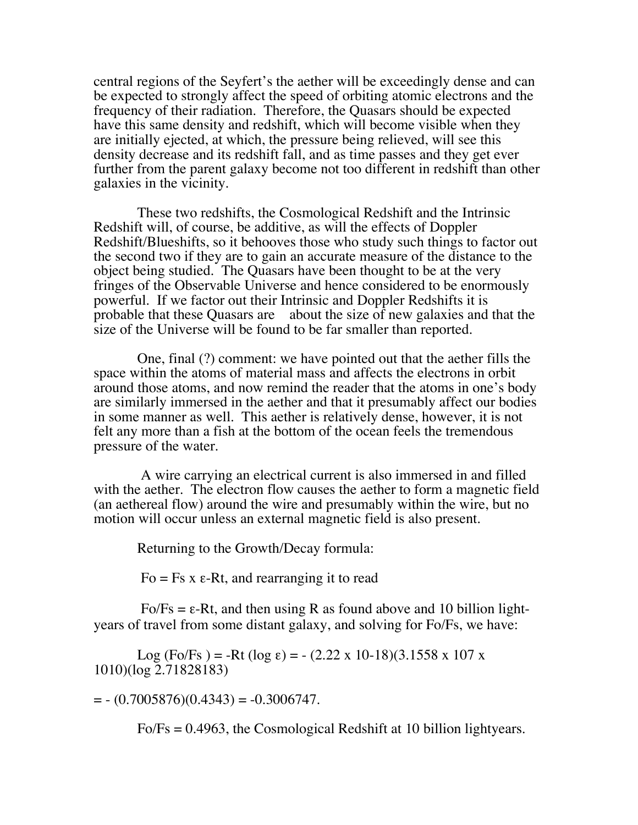central regions of the Seyfert's the aether will be exceedingly dense and can be expected to strongly affect the speed of orbiting atomic electrons and the frequency of their radiation. Therefore, the Quasars should be expected have this same density and redshift, which will become visible when they are initially ejected, at which, the pressure being relieved, will see this density decrease and its redshift fall, and as time passes and they get ever further from the parent galaxy become not too different in redshift than other galaxies in the vicinity.

 These two redshifts, the Cosmological Redshift and the Intrinsic Redshift will, of course, be additive, as will the effects of Doppler Redshift/Blueshifts, so it behooves those who study such things to factor out the second two if they are to gain an accurate measure of the distance to the object being studied. The Quasars have been thought to be at the very fringes of the Observable Universe and hence considered to be enormously powerful. If we factor out their Intrinsic and Doppler Redshifts it is probable that these Quasars are about the size of new galaxies and that the size of the Universe will be found to be far smaller than reported.

 One, final (?) comment: we have pointed out that the aether fills the space within the atoms of material mass and affects the electrons in orbit around those atoms, and now remind the reader that the atoms in one's body are similarly immersed in the aether and that it presumably affect our bodies in some manner as well. This aether is relatively dense, however, it is not felt any more than a fish at the bottom of the ocean feels the tremendous pressure of the water.

 A wire carrying an electrical current is also immersed in and filled with the aether. The electron flow causes the aether to form a magnetic field (an aethereal flow) around the wire and presumably within the wire, but no motion will occur unless an external magnetic field is also present.

Returning to the Growth/Decay formula:

Fo = Fs x ε-Rt, and rearranging it to read

 $Fo/Fs = \varepsilon-Rt$ , and then using R as found above and 10 billion lightyears of travel from some distant galaxy, and solving for Fo/Fs, we have:

Log (Fo/Fs) = -Rt (log  $\varepsilon$ ) = - (2.22 x 10-18)(3.1558 x 107 x 1010)(log 2.71828183)

 $=$   $- (0.7005876)(0.4343) = -0.3006747.$ 

Fo/Fs = 0.4963, the Cosmological Redshift at 10 billion lightyears.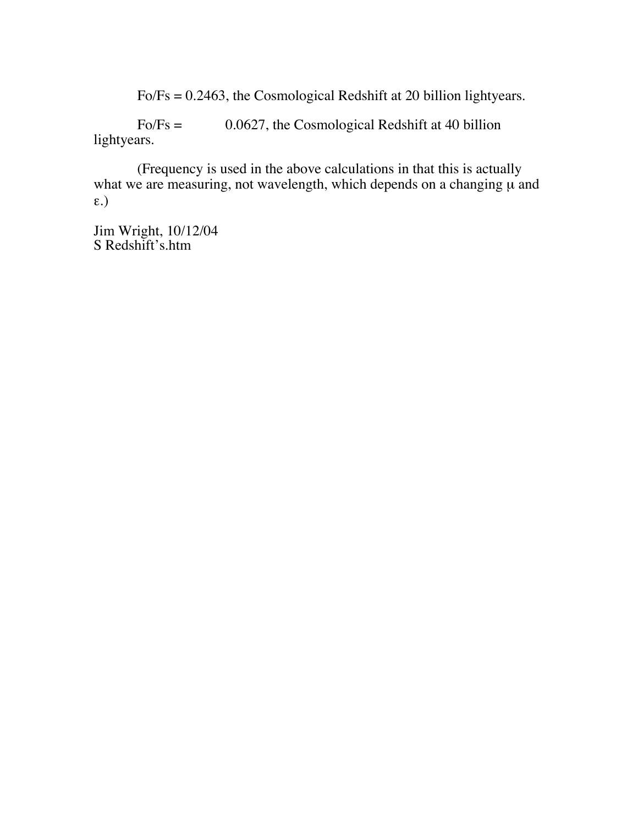Fo/Fs = 0.2463, the Cosmological Redshift at 20 billion lightyears.

 Fo/Fs = 0.0627, the Cosmological Redshift at 40 billion lightyears.

 (Frequency is used in the above calculations in that this is actually what we are measuring, not wavelength, which depends on a changing  $\mu$  and ε.)

Jim Wright, 10/12/04 S Redshift's.htm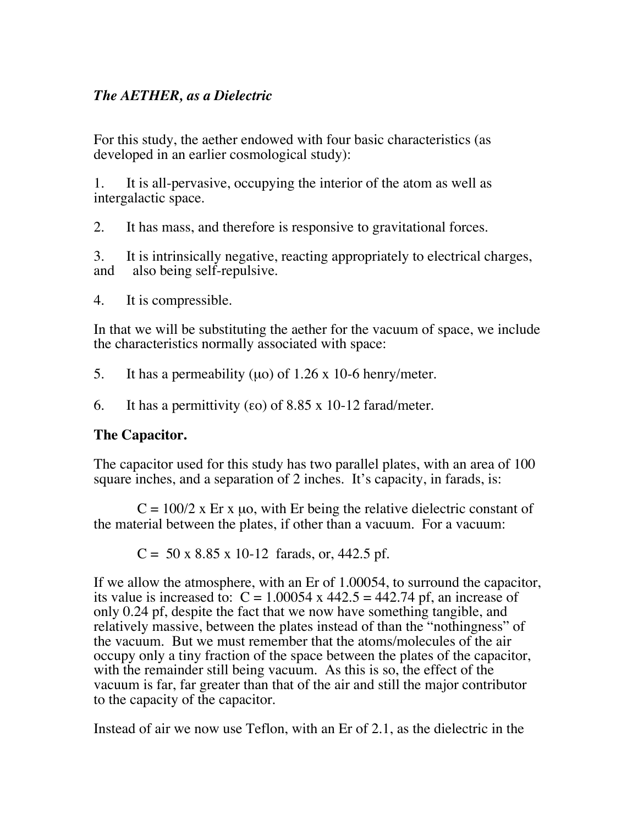# *The AETHER, as a Dielectric*

For this study, the aether endowed with four basic characteristics (as developed in an earlier cosmological study):

1. It is all-pervasive, occupying the interior of the atom as well as intergalactic space.

2. It has mass, and therefore is responsive to gravitational forces.

3. It is intrinsically negative, reacting appropriately to electrical charges, and also being self-repulsive.

4. It is compressible.

In that we will be substituting the aether for the vacuum of space, we include the characteristics normally associated with space:

5. It has a permeability ( $\mu$ o) of 1.26 x 10-6 henry/meter.

6. It has a permittivity (εo) of  $8.85 \times 10$ -12 farad/meter.

### **The Capacitor.**

The capacitor used for this study has two parallel plates, with an area of 100 square inches, and a separation of 2 inches. It's capacity, in farads, is:

 $C = 100/2$  x Er x µo, with Er being the relative dielectric constant of the material between the plates, if other than a vacuum. For a vacuum:

 $C = 50 \times 8.85 \times 10^{-12}$  farads, or, 442.5 pf.

If we allow the atmosphere, with an Er of 1.00054, to surround the capacitor, its value is increased to:  $C = 1.00054$  x 442.5 = 442.74 pf, an increase of only 0.24 pf, despite the fact that we now have something tangible, and relatively massive, between the plates instead of than the "nothingness" of the vacuum. But we must remember that the atoms/molecules of the air occupy only a tiny fraction of the space between the plates of the capacitor, with the remainder still being vacuum. As this is so, the effect of the vacuum is far, far greater than that of the air and still the major contributor to the capacity of the capacitor.

Instead of air we now use Teflon, with an Er of 2.1, as the dielectric in the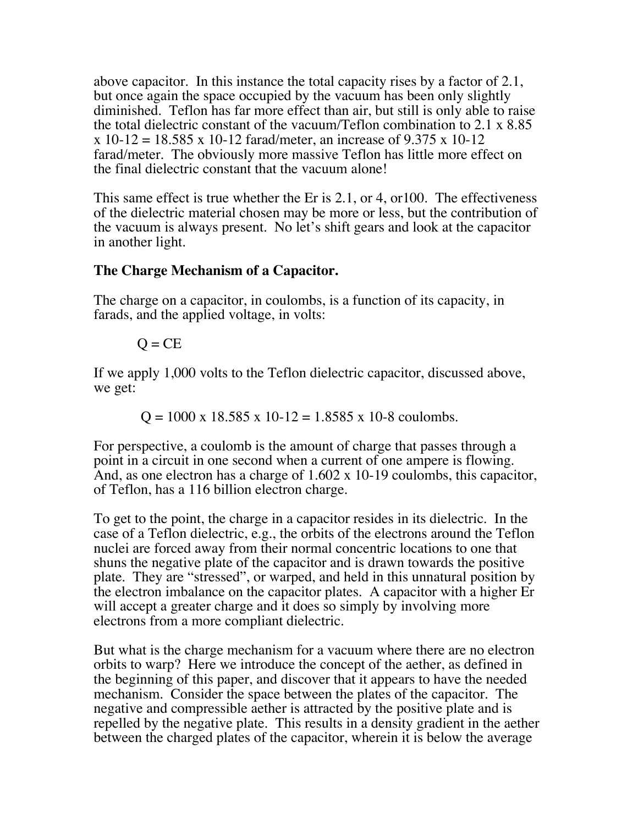above capacitor. In this instance the total capacity rises by a factor of 2.1, but once again the space occupied by the vacuum has been only slightly diminished. Teflon has far more effect than air, but still is only able to raise the total dielectric constant of the vacuum/Teflon combination to 2.1 x 8.85  $x 10-12 = 18.585 x 10-12$  farad/meter, an increase of 9.375 x 10-12 farad/meter. The obviously more massive Teflon has little more effect on the final dielectric constant that the vacuum alone!

This same effect is true whether the Er is 2.1, or 4, or100. The effectiveness of the dielectric material chosen may be more or less, but the contribution of the vacuum is always present. No let's shift gears and look at the capacitor in another light.

# **The Charge Mechanism of a Capacitor.**

The charge on a capacitor, in coulombs, is a function of its capacity, in farads, and the applied voltage, in volts:

$$
Q = CE
$$

If we apply 1,000 volts to the Teflon dielectric capacitor, discussed above, we get:

 $Q = 1000 \times 18.585 \times 10-12 = 1.8585 \times 10-8$  coulombs.

For perspective, a coulomb is the amount of charge that passes through a point in a circuit in one second when a current of one ampere is flowing. And, as one electron has a charge of 1.602 x 10-19 coulombs, this capacitor, of Teflon, has a 116 billion electron charge.

To get to the point, the charge in a capacitor resides in its dielectric. In the case of a Teflon dielectric, e.g., the orbits of the electrons around the Teflon nuclei are forced away from their normal concentric locations to one that shuns the negative plate of the capacitor and is drawn towards the positive plate. They are "stressed", or warped, and held in this unnatural position by the electron imbalance on the capacitor plates. A capacitor with a higher Er will accept a greater charge and it does so simply by involving more electrons from a more compliant dielectric.

But what is the charge mechanism for a vacuum where there are no electron orbits to warp? Here we introduce the concept of the aether, as defined in the beginning of this paper, and discover that it appears to have the needed mechanism. Consider the space between the plates of the capacitor. The negative and compressible aether is attracted by the positive plate and is repelled by the negative plate. This results in a density gradient in the aether between the charged plates of the capacitor, wherein it is below the average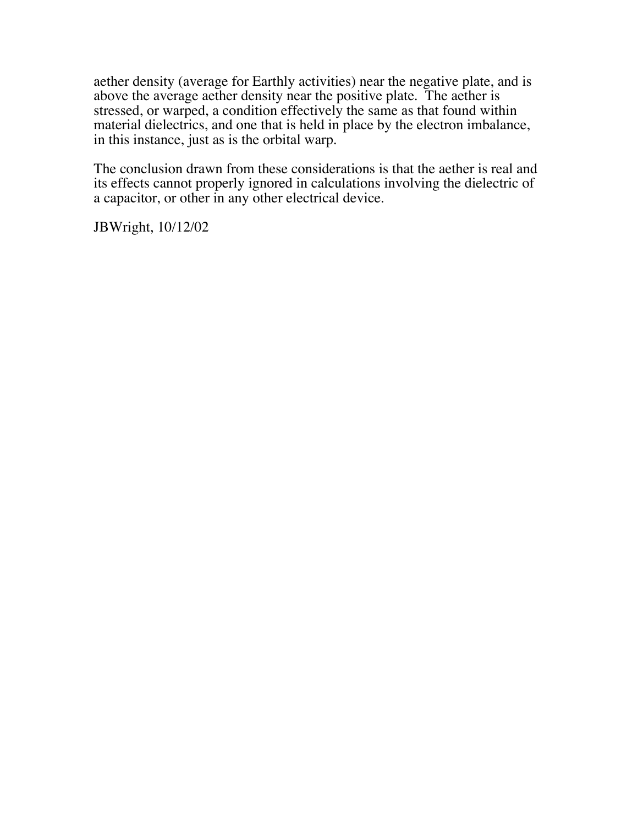aether density (average for Earthly activities) near the negative plate, and is above the average aether density near the positive plate. The aether is stressed, or warped, a condition effectively the same as that found within material dielectrics, and one that is held in place by the electron imbalance, in this instance, just as is the orbital warp.

The conclusion drawn from these considerations is that the aether is real and its effects cannot properly ignored in calculations involving the dielectric of a capacitor, or other in any other electrical device.

JBWright, 10/12/02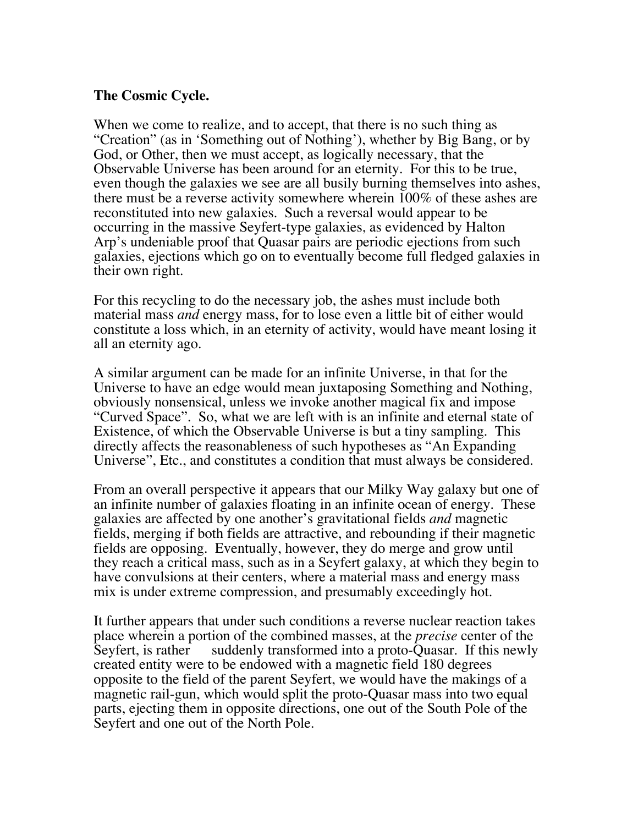## **The Cosmic Cycle.**

When we come to realize, and to accept, that there is no such thing as "Creation" (as in 'Something out of Nothing'), whether by Big Bang, or by God, or Other, then we must accept, as logically necessary, that the Observable Universe has been around for an eternity. For this to be true, even though the galaxies we see are all busily burning themselves into ashes, there must be a reverse activity somewhere wherein 100% of these ashes are reconstituted into new galaxies. Such a reversal would appear to be occurring in the massive Seyfert-type galaxies, as evidenced by Halton Arp's undeniable proof that Quasar pairs are periodic ejections from such galaxies, ejections which go on to eventually become full fledged galaxies in their own right.

For this recycling to do the necessary job, the ashes must include both material mass *and* energy mass, for to lose even a little bit of either would constitute a loss which, in an eternity of activity, would have meant losing it all an eternity ago.

A similar argument can be made for an infinite Universe, in that for the Universe to have an edge would mean juxtaposing Something and Nothing, obviously nonsensical, unless we invoke another magical fix and impose "Curved Space". So, what we are left with is an infinite and eternal state of Existence, of which the Observable Universe is but a tiny sampling. This directly affects the reasonableness of such hypotheses as "An Expanding Universe", Etc., and constitutes a condition that must always be considered.

From an overall perspective it appears that our Milky Way galaxy but one of an infinite number of galaxies floating in an infinite ocean of energy. These galaxies are affected by one another's gravitational fields *and* magnetic fields, merging if both fields are attractive, and rebounding if their magnetic fields are opposing. Eventually, however, they do merge and grow until they reach a critical mass, such as in a Seyfert galaxy, at which they begin to have convulsions at their centers, where a material mass and energy mass mix is under extreme compression, and presumably exceedingly hot.

It further appears that under such conditions a reverse nuclear reaction takes place wherein a portion of the combined masses, at the *precise* center of the Seyfert, is rather suddenly transformed into a proto-Quasar. If this newly created entity were to be endowed with a magnetic field 180 degrees opposite to the field of the parent Seyfert, we would have the makings of a magnetic rail-gun, which would split the proto-Quasar mass into two equal parts, ejecting them in opposite directions, one out of the South Pole of the Seyfert and one out of the North Pole.